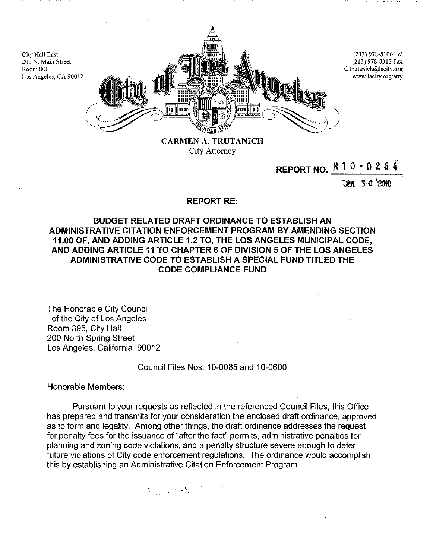

CARMEN A. TRUTANICH City Attorney

# **REPORT NO.** R 1 0 - 0 2 6 4

'JUt 3•0 '1010

#### **REPORT RE:**

# **BUDGET RELATED DRAFT ORDINANCE TO ESTABLISH AN ADMINISTRATIVE CITATION ENFORCEMENT PROGRAM BY AMENDING SECTION 11.00 OF, AND ADDING ARTICLE 1.2 TO, THE LOS ANGELES MUNICIPAL CODE, AND ADDING ARTICLE 11 TO CHAPTER 6 OF DIVISION 5 OF THE LOS ANGELES ADMINISTRATIVE CODE TO ESTABLISH A SPECIAL FUND TITLED THE CODE COMPLIANCE FUND**

The Honorable City Council of the City of Los Angeles Room 395, City Hall 200 North Spring Street Los Angeles, California 90012

### Council Files Nos. 10-0085 and 10-0600

Honorable Members:

City Hall East

Room 800

Pursuant to your requests as reflected in the referenced Council Files, this Office has prepared and transmits for your consideration the enclosed draft ordinance, approved as to form and legality. Among other things, the draft ordinance addresses the request for penalty fees for the issuance of "after the fact" permits, administrative penalties for planning and zoning code violations, and a penalty structure severe enough to deter future violations of City code enforcement regulations. The ordinance would accomplish this by establishing an Administrative Citation Enforcement Program.

错误 心感 服命癖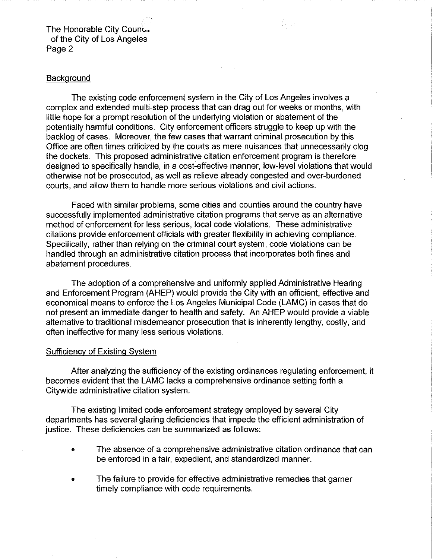The Honorable City Counc.. of the City of Los Angeles Page 2

# **Background**

The existing code enforcement system in the City of Los Angeles involves a complex and extended multi-step process that can drag out for weeks or months, with little hope for a prompt resolution of the underlying violation or abatement of the potentially harmful conditions. City enforcement officers struggle to keep up with the backlog of cases. Moreover, the few cases that warrant criminal prosecution by this Office are often times criticized by the courts as mere nuisances that unnecessarily clog the dockets. This proposed administrative citation enforcement program is therefore designed to specifically handle, in a cost-effective manner, low-level violations that would otherwise not be prosecuted, as well as relieve already congested and over-burdened courts, and allow them to handle more serious violations and civil actions.

Faced with similar problems, some cities and counties around the country have successfully implemented administrative citation programs that serve as an alternative method of enforcement for less serious, local code violations. These administrative citations provide enforcement officials with greater flexibility in achieving compliance. Specifically, rather than relying on the criminal court system, code violations can be handled through an administrative citation process that incorporates both fines and abatement procedures.

The adoption of a comprehensive and uniformly applied Administrative Hearing and Enforcement Program (AHEP) would provide the City with an efficient, effective and economical means to enforce the Los Angeles Municipal Code (LAMC) in cases that do not present an immediate danger to health and safety. An AHEP would provide a viable alternative to traditional misdemeanor prosecution that is inherently lengthy, costly, and often ineffective for many less serious violations.

#### Sufficiency of Existing System

After analyzing the sufficiency of the existing ordinances regulating enforcement, it becomes evident that the LAMC lacks a comprehensive ordinance setting forth a Citywide administrative citation system.

The existing limited code enforcement strategy employed by several City departments has several glaring deficiencies that impede the efficient administration of justice. These deficiencies can be summarized as follows:

- The absence of a comprehensive administrative citation ordinance that can be enforced in a fair, expedient, and standardized manner.
- The failure to provide for effective administrative remedies that garner timely compliance with code requirements.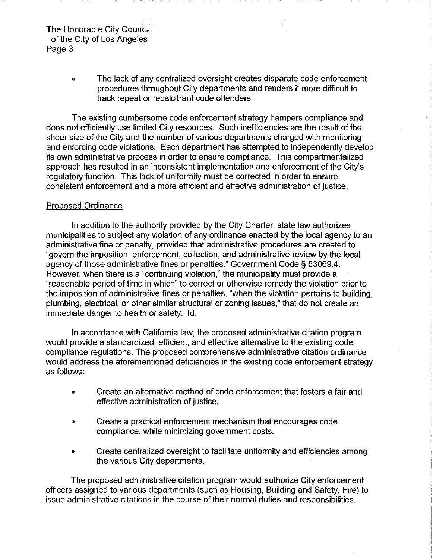The Honorable City Counc.. of the City of Los Angeles Page 3

> • The lack of any centralized oversight creates disparate code enforcement procedures throughout City departments and renders it more difficult to track repeat or recalcitrant code offenders.

The existing cumbersome code enforcement strategy hampers compliance and does not efficiently use limited City resources. Such inefficiencies are the result of the sheer size of the City and the number of various departments charged with monitoring and enforcing code violations. Each department has attempted to independently develop its own administrative process in order to ensure compliance. This compartmentalized approach has resulted in an inconsistent implementation and enforcement of the City's regulatory function. This lack of uniformity must be corrected in order to ensure consistent enforcement and a more efficient and effective administration of justice.

# Proposed Ordinance

In addition to the authority provided by the City Charter, state law authorizes municipalities to subject any violation of any ordinance enacted by the local agency to an administrative fine or penalty, provided that administrative procedures are created to "govern the imposition, enforcement, collection, and administrative review by the local agency of those administrative fines or penalties." Government Code§ 53069.4. However, when there is a "continuing violation," the municipality must provide a "reasonable period of time in which" to correct or otherwise remedy the violation prior to the imposition of administrative fines or penalties, "when the violation pertains to building, plumbing, electrical, or other similar structural or zoning issues," that do not create an immediate danger to health or safety. ld.

In accordance with California law, the proposed administrative citation program would provide a standardized, efficient, and effective alternative to the existing code compliance regulations. The proposed comprehensive administrative citation ordinance would address the aforementioned deficiencies in the existing code enforcement strategy as follows:

- Create an alternative method of code enforcement that fosters a fair and effective administration of justice.
- Create a practical enforcement mechanism that encourages code compliance, while minimizing government costs.
- Create centralized oversight to facilitate uniformity and efficiencies among the various City departments.

The proposed administrative citation program would authorize City enforcement officers assigned to various departments (such as Housing, Building and Safety, Fire) to issue administrative citations in the course of their normal duties and responsibilities.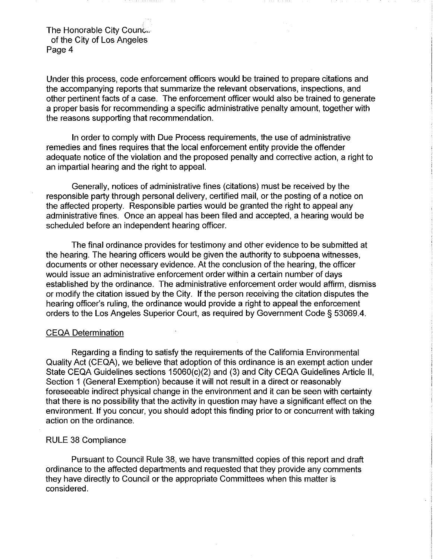The Honorable City Counc... of the City of Los Angeles Page 4

Under this process, code enforcement officers would be trained to prepare citations and the accompanying reports that summarize the relevant observations, inspections, and other pertinent facts of a case. The enforcement officer would also be trained to generate a proper basis for recommending a specific administrative penalty amount, together with the reasons supporting that recommendation.

In order to comply with Due Process requirements, the use of administrative remedies and fines requires that the local enforcement entity provide the offender adequate notice of the violation and the proposed penalty and corrective action, a right to an impartial hearing and the right to appeal.

Generally, notices of administrative fines (citations) must be received by the responsible party through personal delivery, certified mail, or the posting of a notice on the affected property. Responsible parties would be granted the right to appeal any administrative fines. Once an appeal has been filed and accepted, a hearing would be scheduled before an independent hearing officer.

The final ordinance provides for testimony and other evidence to be submitted at the hearing. The hearing officers would be given the authority to subpoena witnesses, documents or other necessary evidence. At the conclusion of the hearing, the officer would issue an administrative enforcement order within a certain number of days established by the ordinance. The administrative enforcement order would affirm, dismiss or modify the citation issued by the City. If the person receiving the citation disputes the hearing officer's ruling, the ordinance would provide a right to appeal the enforcement orders to the Los Angeles Superior Court, as required by Government Code§ 53069.4.

#### CEQA Determination

Regarding a finding to satisfy the requirements of the California Environmental Quality Act (CEQA), we believe that adoption of this ordinance is an exempt action under State CEQA Guidelines sections 15060(c)(2) and (3) and City CEQA Guidelines Article II, Section 1 (General Exemption) because it will not result in a direct or reasonably foreseeable indirect physical change in the environment and it can be seen with certainty that there is no possibility that the activity in question may have a significant effect on the environment. If you concur, you should adopt this finding prior to or concurrent with taking action on the ordinance.

#### RULE 38 Compliance

Pursuant to Council Rule 38, we have transmitted copies of this report and draft ordinance to the affected departments and requested that they provide any comments they have directly to Council or the appropriate Committees when this matter is considered.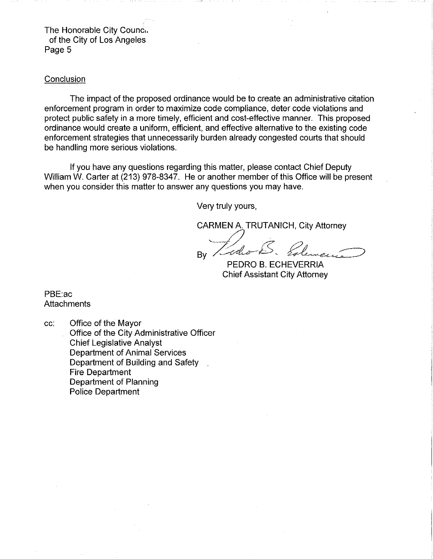The Honorable City Counc.. of the City of Los Angeles Page 5

#### **Conclusion**

The impact of the proposed ordinance would be to create an administrative citation enforcement program in order to maximize code compliance, deter code violations and protect public safety in a more timely, efficient and cost-effective manner. This proposed ordinance would create a uniform, efficient, and effective alternative to the existing code enforcement strategies that unnecessarily burden already congested courts that should be handling more serious violations.

If you have any questions regarding this matter, please contact Chief Deputy William W. Carter at (213) 978-8347. He or another member of this Office will be present when you consider this matter to answer any questions you may have.

Very truly yours,

CARMEN A. TRUTANICH, City Attorney

 $-\sqrt{2}$   $\approx$  0.  $By$  / who  $\mathcal{E}$ . Element

PEDRO B. ECHEVERRIA Chief Assistant City Attorney

PBE:ac **Attachments** 

cc: Office of the Mayor Office of the City Administrative Officer Chief Legislative Analyst Department of Animal Services Department of Building and Safety Fire Department Department of Planning Police Department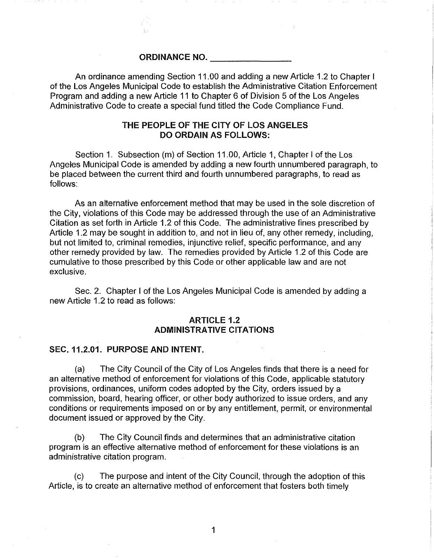ORDINANCE NO.

An ordinance amending Section 11.00 and adding a new Article 1.2 to Chapter I of the Los Angeles Municipal Code to establish the Administrative Citation Enforcement Program and adding a new Article 11 to Chapter 6 of Division 5 of the Los Angeles Administrative Code to create a special fund titled the Code Compliance Fund.

# THE PEOPLE OF THE CITY OF LOS ANGELES DO ORDAIN AS FOLLOWS:

Section 1. Subsection (m) of Section 11.00, Article 1, Chapter I of the Los Angeles Municipal Code is amended by adding a new fourth unnumbered paragraph, to be placed between the current third and fourth unnumbered paragraphs, to read as follows:

As an alternative enforcement method that may be used in the sole discretion of the City, violations of this Code may be addressed through the use of an Administrative Citation as set forth in Article 1.2 of this Code. The administrative fines prescribed by Article 1.2 may be sought in addition to, and not in lieu of, any other remedy, including, but not limited to, criminal remedies, injunctive relief, specific performance, and any other remedy provided by law. The remedies provided by Article 1.2 of this Code are cumulative to those prescribed by this Code or other applicable law and are not exclusive.

Sec. 2. Chapter I of the Los Angeles Municipal Code is amended by adding a new Article 1.2 to read as follows:

# ARTICLE 1.2 ADMINISTRATIVE CITATIONS

#### SEC. 11.2.01. PURPOSE AND INTENT.

(a) The City Council of the City of Los Angeles finds that there is a need for an alternative method of enforcement for violations of this Code, applicable statutory provisions, ordinances, uniform codes adopted by the City, orders issued by a commission, board, hearing officer, or other body authorized to issue orders, and any conditions or requirements imposed on or by any entitlement, permit, or environmental document issued or approved by the City.

(b) The City Council finds and determines that an administrative citation program is an effective alternative method of enforcement for these violations is an administrative citation program.

(c) The purpose and intent of the City Council, through the adoption of this Article, is to create an alternative method of enforcement that fosters both timely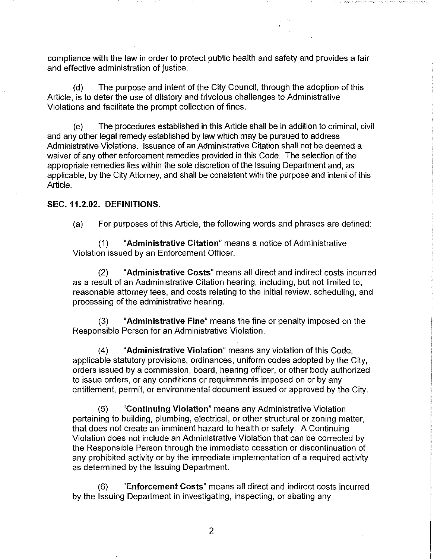compliance with the law in order to protect public health and safety and provides a fair and effective administration of justice.

(d) The purpose and intent of the City Council, through the adoption of this Article, is to deter the use of dilatory and frivolous challenges to Administrative Violations and facilitate the prompt collection of fines.

(e) The procedures established in this Article shall be in addition to criminal, civil and any other legal remedy established by law which may be pursued to address Administrative Violations. Issuance of an Administrative Citation shall not be deemed a waiver of any other enforcement remedies provided in this Code. The selection of the appropriate remedies lies within the sole discretion of the Issuing Department and, as applicable, by the City Attorney, and shall be consistent with the purpose and intent of this Article.

## SEC. 11.2.02. DEFINITIONS.

(a) For purposes of this Article, the following words and phrases are defined:

(1) "Administrative Citation" means a notice of Administrative Violation issued by an Enforcement Officer.

(2) "Administrative Costs" means all direct and indirect costs incurred as a result of an Aadministrative Citation hearing, including, but not limited to, reasonable attorney fees, and costs relating to the initial review, scheduling, and processing of the administrative hearing.

(3) "Administrative Fine" means the fine or penalty imposed on the Responsible Person for an Administrative Violation.

(4) "Administrative Violation" means any violation of this Code, applicable statutory provisions, ordinances, uniform codes adopted by the City, orders issued by a commission, board, hearing officer, or other body authorized to issue orders, or any conditions or requirements imposed on or by any entitlement, permit, or environmental document issued or approved by the City.

(5) "Continuing Violation" means any Administrative Violation pertaining to building, plumbing, electrical, or other structural or zoning matter, that does not create an imminent hazard to health or safety. A Continuing Violation does not include an Administrative Violation that can be corrected by the Responsible Person through the immediate cessation or discontinuation of any prohibited activity or by the immediate implementation of a required activity as determined by the Issuing Department.

(6) "Enforcement Costs" means all direct and indirect costs incurred by the Issuing Department in investigating, inspecting, or abating any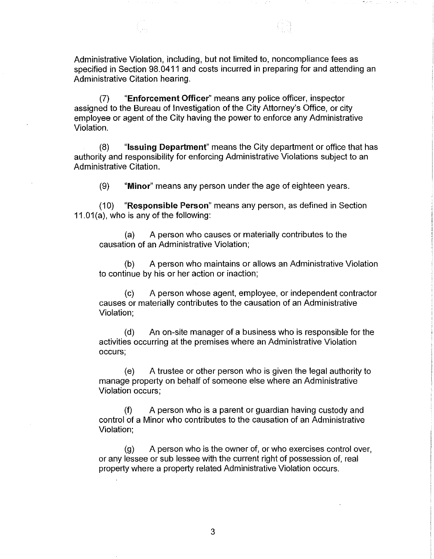Administrative Violation, including, but not limited to, noncompliance fees as specified in Section 98.0411 and costs incurred in preparing for and attending an Administrative Citation hearing.

(7) "Enforcement Officer" means any police officer, inspector assigned to the Bureau of Investigation of the City Attorney's Office, or city employee or agent of the City having the power to enforce any Administrative Violation.

(8) "Issuing Department" means the City department or office that has authority and responsibility for enforcing Administrative Violations subject to an Administrative Citation.

(9) "Minor" means any person under the age of eighteen years.

(10) "Responsible Person" means any person, as defined in Section 11.01 (a), who is any of the following:

(a) A person who causes or materially contributes to the causation of an Administrative Violation;

(b) A person who maintains or allows an Administrative Violation to continue by his or her action or inaction;

(c) A person whose agent, employee, or independent contractor causes or materially contributes to the causation of an Administrative Violation;

(d) An on-site manager of a business who is responsible for the activities occurring at the premises where an Administrative Violation occurs;

(e) A trustee or other person who is given the legal authority to manage property on behalf of someone else where an Administrative Violation occurs;

(f) A person who is a parent or guardian having custody and control of a Minor who contributes to the causation of an Administrative Violation;

(g) A person who is the owner of, or who exercises control over, or any lessee or sub lessee with the current right of possession of, real property where a property related Administrative Violation occurs.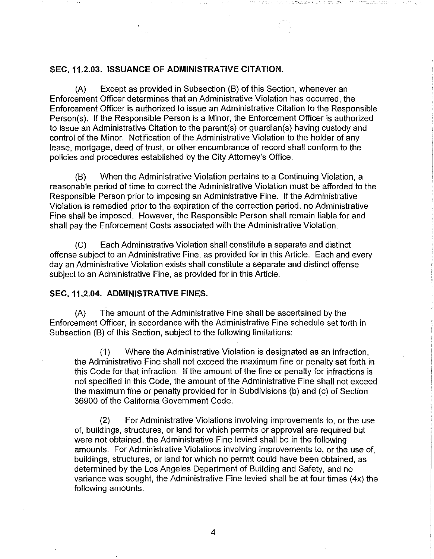# SEC. 11.2.03. ISSUANCE OF ADMINISTRATIVE CITATION.

(A) Except as provided in Subsection (B) of this Section, whenever an Enforcement Officer determines that an Administrative Violation has occurred, the Enforcement Officer is authorized to issue an Administrative Citation to the Responsible Person(s). If the Responsible Person is a Minor, the Enforcement Officer is authorized to issue an Administrative Citation to the parent(s) or guardian(s) having custody and control of the Minor. Notification of the Administrative Violation to the holder of any lease, mortgage, deed of trust, or other encumbrance of record shall conform to the policies and procedures established by the City Attorney's Office.

(B) When the Administrative Violation pertains to a Continuing Violation, a reasonable period of time to correct the Administrative Violation must be afforded to the Responsible Person prior to imposing an Administrative Fine. If the Administrative Violation is remedied prior to the expiration of the correction period, no Administrative Fine shall be imposed. However, the Responsible Person shall remain liable for and shall pay the Enforcement Costs associated with the Administrative Violation.

(C) Each Administrative Violation shall constitute a separate and distinct offense subject to an Administrative Fine, as provided for in this Article. Each and every day an Administrative Violation exists shall constitute a separate and distinct offense subject to an Administrative Fine, as provided for in this Article.

#### SEC.11.2.04. ADMINISTRATIVE FINES.

(A) The amount of the Administrative Fine shall be ascertained by the Enforcement Officer, in accordance with the Administrative Fine schedule set forth in Subsection (B) of this Section, subject to the following limitations:

(1) Where the Administrative Violation is designated as an infraction, the Administrative Fine shall not exceed the maximum fine or penalty set forth in this Code for that infraction. If the amount of the fine or penalty for infractions is not specified in this Code, the amount of the Administrative Fine shall not exceed the maximum fine or penalty provided for in Subdivisions (b) and (c) of Section 36900 of the California Government Code.

(2) For Administrative Violations involving improvements to, or the use of, buildings, structures, or land for which permits or approval are required but were not obtained, the Administrative Fine levied shall be in the following amounts. For Administrative Violations involving improvements to, or the use of, buildings, structures, or land for which no permit could have been obtained, as determined by the Los Angeles Department of Building and Safety, and no variance was sought, the Administrative Fine levied shall be at four times (4x) the following amounts.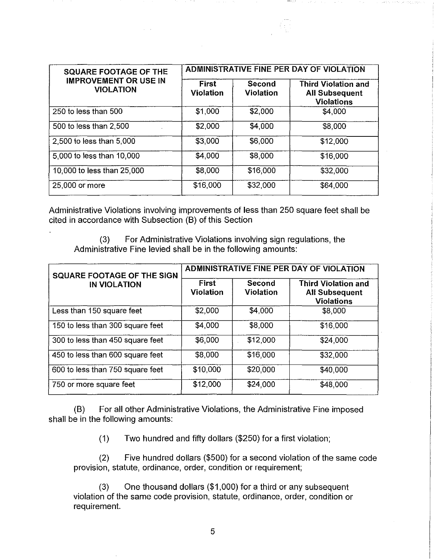| <b>SQUARE FOOTAGE OF THE</b><br><b>IMPROVEMENT OR USE IN</b><br><b>VIOLATION</b> | ADMINISTRATIVE FINE PER DAY OF VIOLATION |                     |                                                                          |  |
|----------------------------------------------------------------------------------|------------------------------------------|---------------------|--------------------------------------------------------------------------|--|
|                                                                                  | <b>First</b><br><b>Violation</b>         | Second<br>Violation | <b>Third Violation and</b><br><b>All Subsequent</b><br><b>Violations</b> |  |
| 250 to less than 500                                                             | \$1,000                                  | \$2,000             | \$4,000                                                                  |  |
| 500 to less than 2,500                                                           | \$2,000                                  | \$4,000             | \$8,000                                                                  |  |
| 2,500 to less than 5,000                                                         | \$3,000                                  | \$6,000             | \$12,000                                                                 |  |
| 5,000 to less than 10,000                                                        | \$4,000                                  | \$8,000             | \$16,000                                                                 |  |
| 10,000 to less than 25,000                                                       | \$8,000                                  | \$16,000            | \$32,000                                                                 |  |
| 25,000 or more                                                                   | \$16,000                                 | \$32,000            | \$64,000                                                                 |  |

Administrative Violations involving improvements of less than 250 square feet shall be cited in accordance with Subsection (B) of this Section

(3) For Administrative Violations involving sign regulations, the Administrative Fine levied shall be in the following amounts:

| <b>SQUARE FOOTAGE OF THE SIGN</b><br><b>IN VIOLATION</b> | ADMINISTRATIVE FINE PER DAY OF VIOLATION |                            |                                                                          |
|----------------------------------------------------------|------------------------------------------|----------------------------|--------------------------------------------------------------------------|
|                                                          | First<br><b>Violation</b>                | Second<br><b>Violation</b> | <b>Third Violation and</b><br><b>All Subsequent</b><br><b>Violations</b> |
| Less than 150 square feet                                | \$2,000                                  | \$4,000                    | \$8,000                                                                  |
| 150 to less than 300 square feet                         | \$4,000                                  | \$8,000                    | \$16,000                                                                 |
| 300 to less than 450 square feet                         | \$6,000                                  | \$12,000                   | \$24,000                                                                 |
| 450 to less than 600 square feet                         | \$8,000                                  | \$16,000                   | \$32,000                                                                 |
| 600 to less than 750 square feet                         | \$10,000                                 | \$20,000                   | \$40,000                                                                 |
| 750 or more square feet                                  | \$12,000                                 | \$24,000                   | \$48,000                                                                 |

(B) For all other Administrative Violations, the Administrative Fine imposed shall be in the following amounts:

(1) Two hundred and fifty dollars (\$250) for a first violation;

(2) Five hundred dollars (\$500) for a second violation of the same code provision, statute, ordinance, order, condition or requirement;

(3) One thousand dollars (\$1 ,000) for a third or any subsequent violation of the same code provision, statute, ordinance, order, condition or requirement.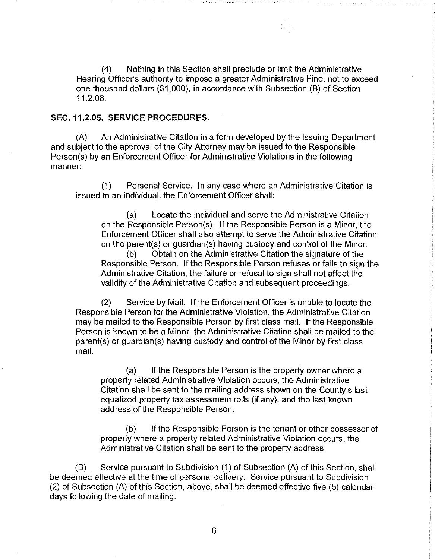(4) Nothing in this Section shall preclude or limit the Administrative Hearing Officer's authority to impose a greater Administrative Fine, not to exceed one thousand dollars (\$1 ,000), in accordance with Subsection (B) of Section 11.2.08.

# SEC. 11.2.05. SERVICE PROCEDURES.

(A) An Administrative Citation in a form developed by the Issuing Department and subject to the approval of the City Attorney may be issued to the Responsible Person(s) by an Enforcement Officer for Administrative Violations in the following manner:

(1) Personal Service. In any case where an Administrative Citation is issued to an individual, the Enforcement Officer shall:

(a) Locate the individual and serve the Administrative Citation on the Responsible Person(s). If the Responsible Person is a Minor, the Enforcement Officer shall also attempt to serve the Administrative Citation on the parent(s) or guardian(s) having custody and control of the Minor.

(b) Obtain on the Administrative Citation the signature of the Responsible Person. If the Responsible Person refuses or fails to sign the Administrative Citation, the failure or refusal to sign shall not affect the validity of the Administrative Citation and subsequent proceedings.

(2) Service by Mail. If the Enforcement Officer is unable to locate the Responsible Person for the Administrative Violation, the Administrative Citation may be mailed to the Responsible Person by first class mail. If the Responsible Person is known to be a Minor, the Administrative Citation shall be mailed to the parent(s) or guardian(s) having custody and control of the Minor by first class mail.

(a) If the Responsible Person is the property owner where a property related Administrative Violation occurs, the Administrative Citation shall be sent to the mailing address shown on the County's last equalized property tax assessment rolls (if any), and the last known address of the Responsible Person.

(b) If the Responsible Person is the tenant or other possessor of property where a property related Administrative Violation occurs, the Administrative Citation shall be sent to the property address.

(B) Service pursuant to Subdivision (1) of Subsection (A) of this Section, shall be deemed effective at the time of personal delivery. Service pursuant to Subdivision (2) of Subsection (A) of this Section, above, shall be deemed effective five (5) calendar days following the date of mailing.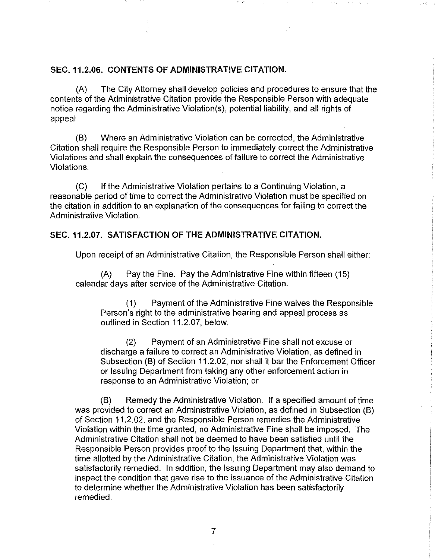# SEC. 11.2.06. CONTENTS OF ADMINISTRATIVE CITATION.

(A) The City Attorney shall develop policies and procedures to ensure that the contents of the Administrative Citation provide the Responsible Person with adequate notice regarding the Administrative Violation(s), potential liability, and all rights of appeal.

(B) Where an Administrative Violation can be corrected, the Administrative Citation shall require the Responsible Person to immediately correct the Administrative Violations and shall explain the consequences of failure to correct the Administrative Violations.

(C) If the Administrative Violation pertains to a Continuing Violation, a reasonable period of time to correct the Administrative Violation must be specified on the citation in addition to an explanation of the consequences for failing to correct the Administrative Violation.

# SEC. 11.2.07. SATISFACTION OF THE ADMINISTRATIVE CITATION.

Upon receipt of an Administrative Citation, the Responsible Person shall either:

(A) Pay the Fine. Pay the Administrative Fine within fifteen (15) calendar days after service of the Administrative Citation.

( 1) Payment of the Administrative Fine waives the Responsible Person's right to the administrative hearing and appeal process as outlined in Section 11.2.07, below.

(2) Payment of an Administrative Fine shall not excuse or discharge a failure to correct an Administrative Violation, as defined in Subsection (B) of Section 11.2.02, nor shall it bar the Enforcement Officer or Issuing Department from taking any other enforcement action in response to an Administrative Violation; or

(B) Remedy the Administrative Violation. If a specified amount of time was provided to correct an Administrative Violation, as defined in Subsection (B) of Section 11.2.02, and the Responsible Person remedies the Administrative Violation within the time granted, no Administrative Fine shall be imposed. The Administrative Citation shall not be deemed to have been satisfied until the Responsible Person provides proof to the Issuing Department that, within the time allotted by the Administrative Citation, the Administrative Violation was satisfactorily remedied. In addition, the Issuing Department may also demand to inspect the condition that gave rise to the issuance of the Administrative Citation to determine whether the Administrative Violation has been satisfactorily remedied.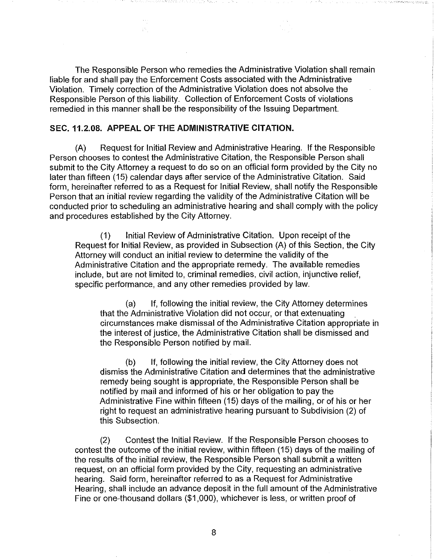The Responsible Person who remedies the Administrative Violation shall remain liable for and shall pay the Enforcement Costs associated with the Administrative Violation. Timely correction of the Administrative Violation does not absolve the Responsible Person of this liability. Collection of Enforcement Costs of violations remedied in this manner shall be the responsibility of the Issuing Department.

# SEC. 11.2.08. APPEAL OF THE ADMINISTRATIVE CITATION.

 $\langle \cdot \rangle$ 

(A) Request for Initial Review and Administrative Hearing. If the Responsible Person chooses to contest the Administrative Citation, the Responsible Person shall submit to the City Attorney a request to do so on an official form provided by the City no later than fifteen (15) calendar days after service of the Administrative Citation. Said form, hereinafter referred to as a Request for Initial Review, shall notify the Responsible Person that an initial review regarding the validity of the Administrative Citation will be conducted prior to scheduling an administrative hearing and shall comply with the policy and procedures established by the City Attorney.

(1) Initial Review of Administrative Citation. Upon receipt of the Request for Initial Review, as provided in Subsection (A) of this Section, the City Attorney will conduct an initial review to determine the validity of the Administrative Citation and the appropriate remedy. The available remedies include, but are not limited to, criminal remedies, civil action, injunctive relief, specific performance, and any other remedies provided by law.

(a) If, following the initial review, the City Attorney determines that the Administrative Violation did not occur, or that extenuating circumstances make dismissal of the Administrative Citation appropriate in the interest of justice, the Administrative Citation shall be dismissed and the Responsible Person notified by mail.

(b) If, following the initial review, the City Attorney does not dismiss the Administrative Citation and determines that the administrative remedy being sought is appropriate, the Responsible Person shall be notified by mail and informed of his or her obligation to pay the Administrative Fine within fifteen (15) days of the mailing, or of his or her right to request an administrative hearing pursuant to Subdivision (2) of this Subsection.

(2) Contest the Initial Review. If the Responsible Person chooses to contest the outcome of the initial review, within fifteen (15) days of the mailing of the results of the initial review, the Responsible Person shall submit a written request, on an official form provided by the City, requesting an administrative hearing. Said form, hereinafter referred to as a Request for Administrative Hearing, shall include an advance deposit in the full amount of the Administrative Fine or one-thousand dollars (\$1 ,000), whichever is less, or written proof of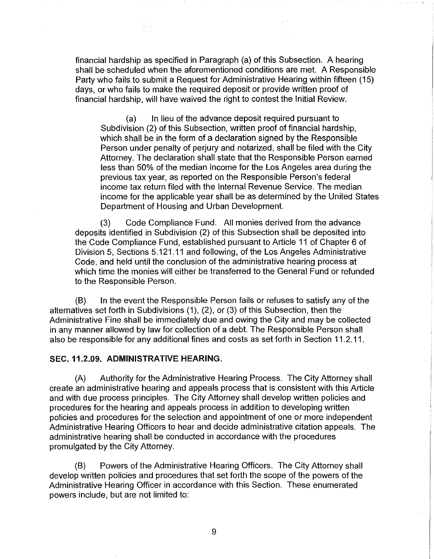financial hardship as specified in Paragraph (a) of this Subsection. A hearing shall be scheduled when the aforementioned conditions are met. A Responsible Party who fails to submit a Request for Administrative Hearing within fifteen (15) days, or who fails to make the required deposit or provide written proof of financial hardship, will have waived the right to contest the Initial Review.

 $\pm$  14

(a) In lieu of the advance deposit required pursuant to Subdivision (2) of this Subsection, written proof of financial hardship, which shall be in the form of a declaration signed by the Responsible Person under penalty of perjury and notarized, shall be filed with the City Attorney. The declaration shall state that the Responsible Person earned less than 50% of the median income for the Los Angeles area during the previous tax year, as reported on the Responsible Person's federal income tax return filed with the Internal Revenue Service. The median income for the applicable year shall be as determined by the United States Department of Housing and Urban Development.

(3) Code Compliance Fund. All monies derived from the advance deposits identified in Subdivision (2) of this Subsection shall be deposited into the Code Compliance Fund, established pursuant to Article 11 of Chapter 6 of Division 5, Sections 5.121.11 and following, of the Los Angeles Administrative Code, and held until the conclusion of the administrative hearing process at which time the monies will either be transferred to the General Fund or refunded to the Responsible Person.

(B) In the event the Responsible Person fails or refuses to satisfy any of the alternatives set forth in Subdivisions (1), (2), or (3) of this Subsection, then the Administrative Fine shall be immediately due and owing the City and may be collected in any manner allowed by law for collection of a debt. The Responsible Person shall also be responsible for any additional fines and costs as set forth in Section 11.2.11.

# SEC. 11.2.09. ADMINISTRATIVE HEARING.

(A) Authority for the Administrative Hearing Process. The City Attorney shall create an administrative hearing and appeals process that is consistent with this Article and with due process principles. The City Attorney shall develop written policies and procedures for the hearing and appeals process in addition to developing written policies and procedures for the selection and appointment of one or more independent Administrative Hearing Officers to hear and decide administrative citation appeals. The administrative hearing shall be conducted in accordance with the procedures promulgated by the City Attorney.

(B) Powers of the Administrative Hearing Officers. The City Attorney shall develop written policies and procedures that set forth the scope of the powers of the Administrative Hearing Officer in accordance with this Section. These enumerated powers include, but are not limited to: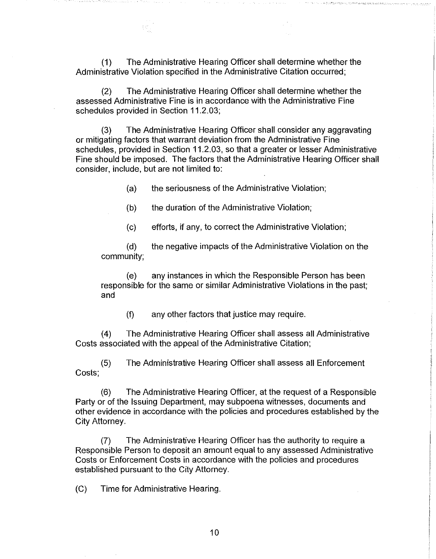(1) The Administrative Hearing Officer shall determine whether the Administrative Violation specified in the Administrative Citation occurred;

(2) The Administrative Hearing Officer shall determine whether the assessed Administrative Fine is in accordance with the Administrative Fine schedules provided in Section 11.2.03;

(3) The Administrative Hearing Officer shall consider any aggravating or mitigating factors that warrant deviation from the Administrative Fine schedules, provided in Section 11.2.03, so that a greater or lesser Administrative Fine should be imposed. The factors that the Administrative Hearing Officer shall consider, include, but are not limited to:

(a) the seriousness of the Administrative Violation;

(b) the duration of the Administrative Violation;

(c) efforts, if any, to correct the Administrative Violation;

(d) the negative impacts of the Administrative Violation on the community;

(e) any instances in which the Responsible Person has been responsible for the same or similar Administrative Violations in the past; and

(f) any other factors that justice may require.

(4) The Administrative Hearing Officer shall assess all Administrative Costs associated with the appeal of the Administrative Citation;

(5) Costs; The Administrative Hearing Officer shall assess all Enforcement

(6) The Administrative Hearing Officer, at the request of a Responsible Party or of the Issuing Department, may subpoena witnesses, documents and other evidence in accordance with the policies and procedures established by the City Attorney.

(7) The Administrative Hearing Officer has the authority to require a Responsible Person to deposit an amount equal to any assessed Administrative Costs or Enforcement Costs in accordance with the policies and procedures established pursuant to the City Attorney.

(C) Time for Administrative Hearing.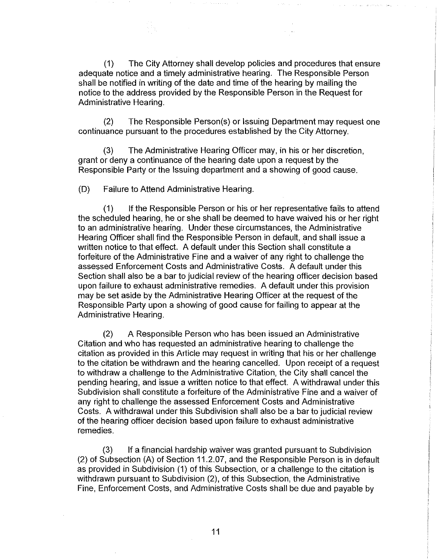(1) The City Attorney shall develop policies and procedures that ensure adequate notice and a timely administrative hearing. The Responsible Person shall be notified in writing of the date and time of the hearing by mailing the notice to the address provided by the Responsible Person in the Request for Administrative Hearing.

Dealer College

in a cuid diamasche des

Special Services

(2) The Responsible Person(s) or Issuing Department may request one continuance pursuant to the procedures established by the City Attorney.

(3) The Administrative Hearing Officer may, in his or her discretion, grant or deny a continuance of the hearing date upon a request by the Responsible Party or the Issuing department and a showing of good cause.

(D) Failure to Attend Administrative Hearing.

(1) If the Responsible Person or his or her representative fails to attend the scheduled hearing, he or she shall be deemed to have waived his or her right to an administrative hearing. Under these circumstances, the Administrative Hearing Officer shall find the Responsible Person in default, and shall issue a written notice to that effect. A default under this Section shall constitute a forfeiture of the Administrative Fine and a waiver of any right to challenge the assessed Enforcement Costs and Administrative Costs. A default under this Section shall also be a bar to judicial review of the hearing officer decision based upon failure to exhaust administrative remedies. A default under this provision may be set aside by the Administrative Hearing Officer at the request of the Responsible Party upon a showing of good cause for failing to appear at the Administrative Hearing.

(2) A Responsible Person who has been issued an Administrative Citation and who has requested an administrative hearing to challenge the citation as provided in this Article may request in writing that his or her challenge to the citation be withdrawn and the hearing cancelled. Upon receipt of a request to withdraw a challenge to the Administrative Citation, the City shall cancel the pending hearing, and issue a written notice to that effect. A withdrawal under this Subdivision shall constitute a forfeiture of the Administrative Fine and a waiver of any right to challenge the assessed Enforcement Costs and Administrative Costs. A withdrawal under this Subdivision shall also be a bar to judicial review of the hearing officer decision based upon failure to exhaust administrative remedies.

(3) If a financial hardship waiver was granted pursuant to Subdivision (2) of Subsection (A) of Section 11.2.07, and the Responsible Person is in default as provided in Subdivision (1) of this Subsection, or a challenge to the citation is withdrawn pursuant to Subdivision (2), of this Subsection, the Administrative Fine, Enforcement Costs, and Administrative Costs shall be due and payable by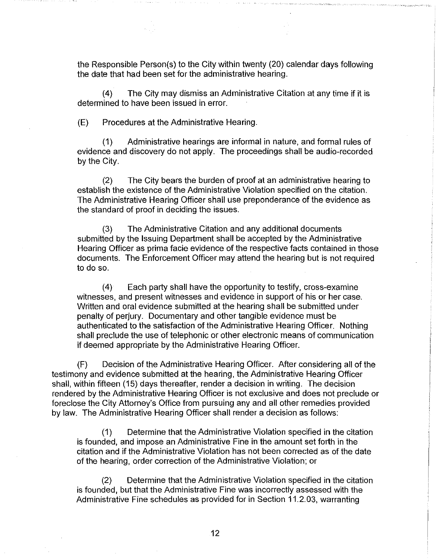the Responsible Person(s) to the City within twenty (20) calendar days following the date that had been set for the administrative hearing.

(4) The City may dismiss an Administrative Citation at any time if it is determined to have been issued in error.

(E) Procedures at the Administrative Hearing.

(1) Administrative hearings are informal in nature, and formal rules of evidence and discovery do not apply. The proceedings shall be audio-recorded by the City.

(2) The City bears the burden of proof at an administrative hearing to establish the existence of the Administrative Violation specified on the citation. The Administrative Hearing Officer shall use preponderance of the evidence as the standard of proof in deciding the issues.

(3) The Administrative Citation and any additional documents submitted by the Issuing Department shall be accepted by the Administrative Hearing Officer as prima facie evidence of the respective facts contained in those documents. The Enforcement Officer may attend the hearing but is not required to do so.

(4) Each party shall have the opportunity to testify, cross-examine witnesses, and present witnesses and evidence in support of his or her case. Written and oral evidence submitted at the hearing shall be submitted under penalty of perjury. Documentary and other tangible evidence must be authenticated to the satisfaction of the Administrative Hearing Officer. Nothing shall preclude the use of telephonic or other electronic means of communication if deemed appropriate by the Administrative Hearing Officer.

(F) Decision of the Administrative Hearing Officer. After considering all of the testimony and evidence submitted at the hearing, the Administrative Hearing Officer shall, within fifteen (15) days thereafter, render a decision in writing. The decision rendered by the Administrative Hearing Officer is not exclusive and does not preclude or foreclose the City Attorney's Office from pursuing any and all other remedies provided by law. The Administrative Hearing Officer shall render a decision as follows:

(1) Determine that the Administrative Violation specified in the citation is founded, and impose an Administrative Fine in the amount set forth in the citation and if the Administrative Violation has not been corrected as of the date of the hearing, order correction of the Administrative Violation; or

(2) Determine that the Administrative Violation specified in the citation is founded, but that the Administrative Fine was incorrectly assessed with the Administrative Fine schedules as provided for in Section 11.2.03, warranting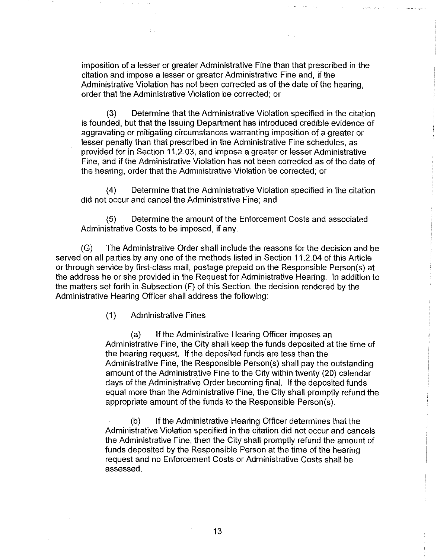imposition of a lesser or greater Administrative Fine than that prescribed in the citation and impose a lesser or greater Administrative Fine and, if the Administrative Violation has not been corrected as of the date of the hearing, order that the Administrative Violation be corrected; or

(3) Determine that the Administrative Violation specified in the citation is founded, but that the Issuing Department has introduced credible evidence of aggravating or mitigating circumstances warranting imposition of a greater or lesser penalty than that prescribed in the Administrative Fine schedules, as provided for in Section 11.2.03, and impose a greater or lesser Administrative Fine, and if the Administrative Violation has not been corrected as of the date of the hearing, order that the Administrative Violation be corrected; or

(4) Determine that the Administrative Violation specified in the citation did not occur and cancel the Administrative Fine; and

(5) Determine the amount of the Enforcement Costs and associated Administrative Costs to be imposed, if any.

(G) The Administrative Order shall include the reasons for the decision and be served on all parties by any one of the methods listed in Section 11.2.04 of this Article or through service by first-class mail, postage prepaid on the Responsible Person(s) at the address he or she provided in the Request for Administrative Hearing. In addition to the matters set forth in Subsection (F) of this Section, the decision rendered by the Administrative Hearing Officer shall address the following:

(1) Administrative Fines

(a) If the Administrative Hearing Officer imposes an Administrative Fine, the City shall keep the funds deposited at the time of the hearing request. If the deposited funds are less than the Administrative Fine, the Responsible Person(s) shall pay the outstanding amount of the Administrative Fine to the City within twenty (20) calendar days of the Administrative Order becoming final. If the deposited funds equal more than the Administrative Fine, the City shall promptly refund the appropriate amount of the funds to the Responsible Person(s).

(b) If the Administrative Hearing Officer determines that the Administrative Violation specified in the citation did not occur and cancels the Administrative Fine, then the City shall promptly refund the amount of funds deposited by the Responsible Person at the time of the hearing request and no Enforcement Costs or Administrative Costs shall be assessed.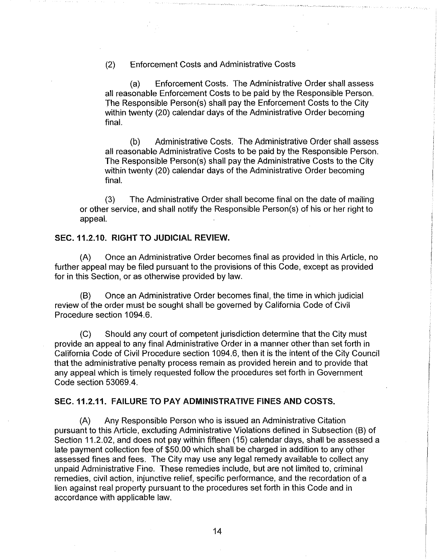(2) Enforcement Costs and Administrative Costs

(a) Enforcement Costs. The Administrative Order shall assess all reasonable Enforcement Costs to be paid by the Responsible Person. The Responsible Person(s) shall pay the Enforcement Costs to the City within twenty (20) calendar days of the Administrative Order becoming final.

(b) Administrative Costs. The Administrative Order shall assess all reasonable Administrative Costs to be paid by the Responsible Person. The Responsible Person(s) shall pay the Administrative Costs to the City within twenty (20) calendar days of the Administrative Order becoming final.

(3) The Administrative Order shall become final on the date of mailing or other service, and shall notify the Responsible Person(s) of his or her right to appeal.

## SEC. 11.2.10. RIGHT TO JUDICIAL REVIEW.

(A) Once an Administrative Order becomes final as provided in this Article, no further appeal may be filed pursuant to the provisions of this Code, except as provided for in this Section, or as otherwise provided by law.

(B) Once an Administrative Order becomes final, the time in which judicial review of the order must be sought shall be governed by California Code of Civil Procedure section 1094.6.

(C) Should any court of competent jurisdiction determine that the City must provide an appeal to any final Administrative Order in a manner other than set forth in California Code of Civil Procedure section 1094.6, then it is the intent of the City Council that the administrative penalty process remain as provided herein and to provide that any appeal which is timely requested follow the procedures set forth in Government Code section 53069.4.

# SEC.11.2.11. FAILURE TO PAY ADMINISTRATIVE FINES AND COSTS.

(A) Any Responsible Person who is issued an Administrative Citation pursuant to this Article, excluding Administrative Violations defined in Subsection (B) of Section 11.2.02, and does not pay within fifteen (15) calendar days, shall be assessed a late payment collection fee of \$50.00 which shall be charged in addition to any other assessed fines and fees. The City may use any legal remedy available to collect any unpaid Administrative Fine. These remedies include, but are not limited to, criminal remedies, civil action, injunctive relief, specific performance, and the recordation of a lien against real property pursuant to the procedures set forth in this Code and in accordance with applicable law.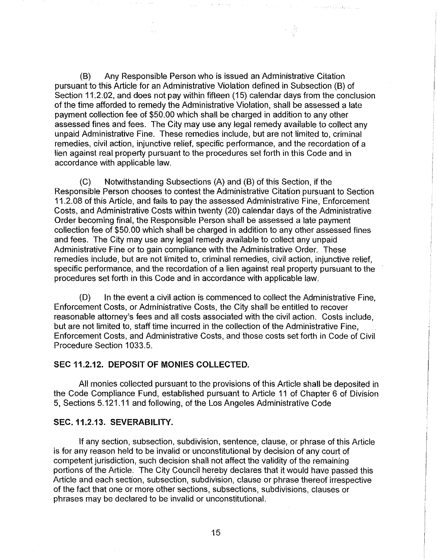(B) Any Responsible Person who is issued an Administrative Citation pursuant to this Article for an Administrative Violation defined in Subsection (B) of Section 11.2.02, and does not pay within fifteen (15) calendar days from the conclusion of the time afforded to remedy the Administrative Violation, shall be assessed a late payment collection fee of \$50.00 which shall be charged in addition to any other assessed fines and fees. The City may use any legal remedy available to collect any unpaid Administrative Fine. These remedies include, but are not limited to, criminal remedies, civil action, injunctive relief, specific performance, and the recordation of a lien against real property pursuant to the procedures set forth in this Code and in accordance with applicable law.

(C) Notwithstanding Subsections (A) and (B) of this Section, if the Responsible Person chooses to contest the Administrative Citation pursuant to Section 11.2.08 of this Article, and fails to pay the assessed Administrative Fine, Enforcement Costs, and Administrative Costs within twenty (20) calendar days of the Administrative Order becoming final, the Responsible Person shall be assessed a late payment collection fee of \$50.00 which shall be charged in addition to any other assessed fines and fees. The City may use any legal remedy available to collect any unpaid Administrative Fine or to gain compliance with the Administrative Order. These remedies include, but are not limited to, criminal remedies, civil action, injunctive relief, specific performance, and the recordation of a lien against real property pursuant to the procedures set forth in this Code and in accordance with applicable law.

(D) In the event a civil action is commenced to collect the Administrative Fine, Enforcement Costs, or Administrative Costs, the City shall be entitled to recover reasonable attorney's fees and all costs associated with the civil action. Costs include, but are not limited to, staff time incurred in the collection of the Administrative Fine, Enforcement Costs, and Administrative Costs, and those costs set forth in Code of Civil Procedure Section 1033.5.

#### SEC 11.2.12. DEPOSIT OF MONIES COLLECTED.

All monies collected pursuant to the provisions of this Article shall be deposited in the Code Compliance Fund, established pursuant to Article 11 of Chapter 6 of Division 5, Sections 5.121.11 and following, of the Los Angeles Administrative Code

# SEC. 11.2.13. SEVERABILITY.

If any section, subsection, subdivision, sentence, clause, or phrase of this Article is for any reason held to be invalid or unconstitutional by decision of any court of competent jurisdiction, such decision shall not affect the validity of the remaining portions of the Article. The City Council hereby declares that it would have passed this Article and each section, subsection, subdivision, clause or phrase thereof irrespective of the fact that one or more other sections, subsections, subdivisions, clauses or phrases may be declared to be invalid or unconstitutional.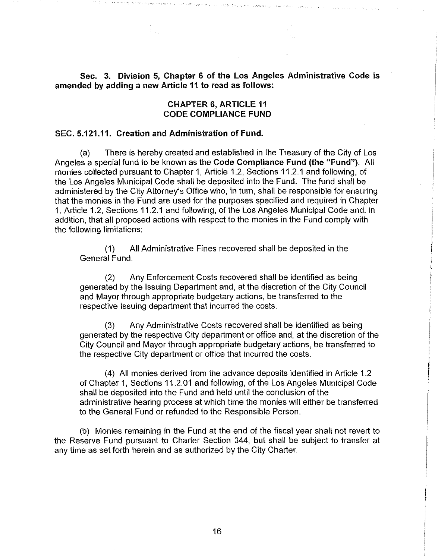Sec. 3. Division 5, Chapter 6 of the Los Angeles Administrative Code is amended by adding a new Article 11 to read as follows:

# CHAPTER 6, ARTICLE 11 CODE COMPLIANCE FUND

### SEC. 5.121.11. Creation and Administration of Fund.

(a) There is hereby created and established in the Treasury of the City of Los Angeles a special fund to be known as the Code Compliance Fund (the "Fund"). All monies collected pursuant to Chapter 1, Article 1.2, Sections 11.2.1 and following, of the Los Angeles Municipal Code shall be deposited into the Fund. The fund shall be administered by the City Attorney's Office who, in turn, shall be responsible for ensuring that the monies in the Fund are used for the purposes specified and required in Chapter 1, Article 1.2, Sections 11.2.1 and following, of the Los Angeles Municipal Code and, in addition, that all proposed actions with respect to the monies in the Fund comply with the following limitations:

( 1) All Administrative Fines recovered shall be deposited in the General Fund.

(2) Any Enforcement Costs recovered shall be identified as being generated by the Issuing Department and, at the discretion of the City Council and Mayor through appropriate budgetary actions, be transferred to the respective Issuing department that incurred the costs.

(3) Any Administrative Costs recovered shall be identified as being generated by the respective City department or office and, at the discretion of the City Council and Mayor through appropriate budgetary actions, be transferred to the respective City department or office that incurred the costs.

(4) All monies derived from the advance deposits identified in Article 1.2 of Chapter 1, Sections 11.2.01 and following, of the Los Angeles Municipal Code shall be deposited into the Fund and held until the conclusion of the administrative hearing process at which time the monies will either be transferred to the General Fund or refunded to the Responsible Person.

(b) Monies remaining in the Fund at the end of the fiscal year shall not revert to the Reserve Fund pursuant to Charter Section 344, but shall be subject to transfer at any time as set forth herein and as authorized by the City Charter.